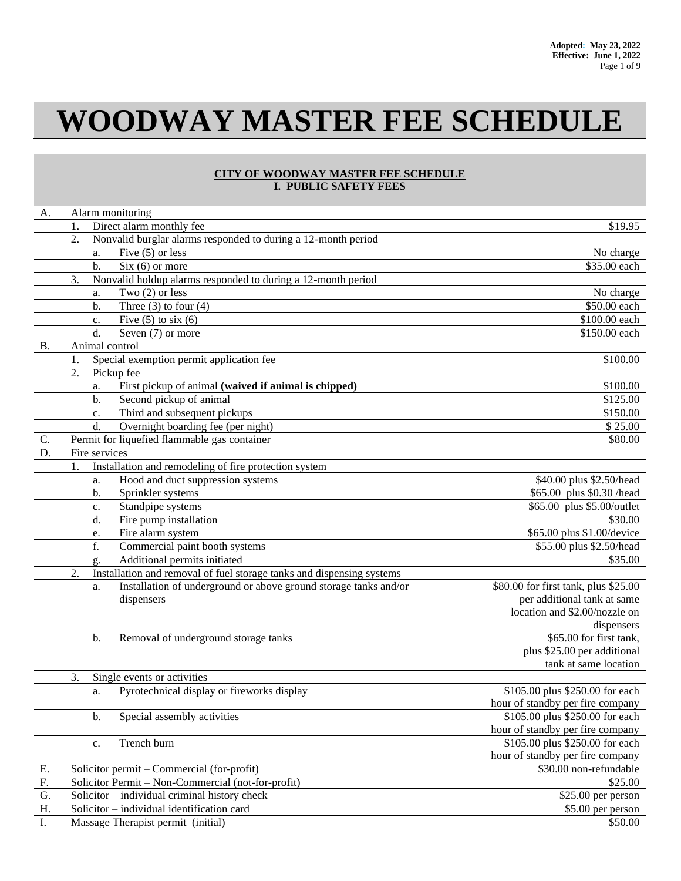# **WOODWAY MASTER FEE SCHEDULE**

## **CITY OF WOODWAY MASTER FEE SCHEDULE I. PUBLIC SAFETY FEES**

| \$19.95<br>Direct alarm monthly fee<br>1.<br>2.<br>Nonvalid burglar alarms responded to during a 12-month period<br>Five $(5)$ or less<br>No charge<br>a.<br>$Six (6)$ or more<br>\$35.00 each<br>b.<br>3.<br>Nonvalid holdup alarms responded to during a 12-month period<br>Two $(2)$ or less<br>No charge<br>a.<br>Three $(3)$ to four $(4)$<br>\$50.00 each<br>b.<br>Five $(5)$ to six $(6)$<br>\$100.00 each<br>c.<br>d.<br>\$150.00 each<br>Seven (7) or more<br>Animal control<br><b>B.</b><br>\$100.00<br>Special exemption permit application fee<br>1.<br>2.<br>Pickup fee<br>First pickup of animal (waived if animal is chipped)<br>\$100.00<br>a.<br>Second pickup of animal<br>\$125.00<br>$\mathbf{b}$ .<br>Third and subsequent pickups<br>\$150.00<br>c.<br>Overnight boarding fee (per night)<br>d.<br>\$25.00<br>Permit for liquefied flammable gas container<br>\$80.00<br>C.<br>D.<br>Fire services<br>Installation and remodeling of fire protection system<br>1.<br>Hood and duct suppression systems<br>\$40.00 plus \$2.50/head<br>a.<br>\$65.00 plus \$0.30 /head<br>b.<br>Sprinkler systems<br>\$65.00 plus \$5.00/outlet<br>Standpipe systems<br>c.<br>Fire pump installation<br>d.<br>\$30.00<br>\$65.00 plus \$1.00/device<br>Fire alarm system<br>e.<br>f.<br>Commercial paint booth systems<br>\$55.00 plus \$2.50/head<br>Additional permits initiated<br>\$35.00<br>g.<br>2.<br>Installation and removal of fuel storage tanks and dispensing systems<br>Installation of underground or above ground storage tanks and/or<br>\$80.00 for first tank, plus \$25.00<br>a.<br>per additional tank at same<br>dispensers<br>location and \$2.00/nozzle on<br>dispensers<br>Removal of underground storage tanks<br>\$65.00 for first tank,<br>b.<br>plus \$25.00 per additional<br>tank at same location<br>3.<br>Single events or activities<br>Pyrotechnical display or fireworks display<br>\$105.00 plus \$250.00 for each<br>a.<br>hour of standby per fire company<br>Special assembly activities<br>\$105.00 plus \$250.00 for each<br>b.<br>hour of standby per fire company<br>\$105.00 plus \$250.00 for each<br>Trench burn<br>c.<br>hour of standby per fire company<br>\$30.00 non-refundable<br>Solicitor permit - Commercial (for-profit)<br>Ε.<br>F.<br>Solicitor Permit - Non-Commercial (not-for-profit)<br>\$25.00<br>G.<br>Solicitor - individual criminal history check<br>\$25.00 per person<br>H.<br>Solicitor - individual identification card<br>\$5.00 per person | A. |  | Alarm monitoring |         |
|---------------------------------------------------------------------------------------------------------------------------------------------------------------------------------------------------------------------------------------------------------------------------------------------------------------------------------------------------------------------------------------------------------------------------------------------------------------------------------------------------------------------------------------------------------------------------------------------------------------------------------------------------------------------------------------------------------------------------------------------------------------------------------------------------------------------------------------------------------------------------------------------------------------------------------------------------------------------------------------------------------------------------------------------------------------------------------------------------------------------------------------------------------------------------------------------------------------------------------------------------------------------------------------------------------------------------------------------------------------------------------------------------------------------------------------------------------------------------------------------------------------------------------------------------------------------------------------------------------------------------------------------------------------------------------------------------------------------------------------------------------------------------------------------------------------------------------------------------------------------------------------------------------------------------------------------------------------------------------------------------------------------------------------------------------------------------------------------------------------------------------------------------------------------------------------------------------------------------------------------------------------------------------------------------------------------------------------------------------------------------------------------------------------------------------------------------------------------------------------------------------------------------|----|--|------------------|---------|
|                                                                                                                                                                                                                                                                                                                                                                                                                                                                                                                                                                                                                                                                                                                                                                                                                                                                                                                                                                                                                                                                                                                                                                                                                                                                                                                                                                                                                                                                                                                                                                                                                                                                                                                                                                                                                                                                                                                                                                                                                                                                                                                                                                                                                                                                                                                                                                                                                                                                                                                           |    |  |                  |         |
|                                                                                                                                                                                                                                                                                                                                                                                                                                                                                                                                                                                                                                                                                                                                                                                                                                                                                                                                                                                                                                                                                                                                                                                                                                                                                                                                                                                                                                                                                                                                                                                                                                                                                                                                                                                                                                                                                                                                                                                                                                                                                                                                                                                                                                                                                                                                                                                                                                                                                                                           |    |  |                  |         |
|                                                                                                                                                                                                                                                                                                                                                                                                                                                                                                                                                                                                                                                                                                                                                                                                                                                                                                                                                                                                                                                                                                                                                                                                                                                                                                                                                                                                                                                                                                                                                                                                                                                                                                                                                                                                                                                                                                                                                                                                                                                                                                                                                                                                                                                                                                                                                                                                                                                                                                                           |    |  |                  |         |
|                                                                                                                                                                                                                                                                                                                                                                                                                                                                                                                                                                                                                                                                                                                                                                                                                                                                                                                                                                                                                                                                                                                                                                                                                                                                                                                                                                                                                                                                                                                                                                                                                                                                                                                                                                                                                                                                                                                                                                                                                                                                                                                                                                                                                                                                                                                                                                                                                                                                                                                           |    |  |                  |         |
|                                                                                                                                                                                                                                                                                                                                                                                                                                                                                                                                                                                                                                                                                                                                                                                                                                                                                                                                                                                                                                                                                                                                                                                                                                                                                                                                                                                                                                                                                                                                                                                                                                                                                                                                                                                                                                                                                                                                                                                                                                                                                                                                                                                                                                                                                                                                                                                                                                                                                                                           |    |  |                  |         |
|                                                                                                                                                                                                                                                                                                                                                                                                                                                                                                                                                                                                                                                                                                                                                                                                                                                                                                                                                                                                                                                                                                                                                                                                                                                                                                                                                                                                                                                                                                                                                                                                                                                                                                                                                                                                                                                                                                                                                                                                                                                                                                                                                                                                                                                                                                                                                                                                                                                                                                                           |    |  |                  |         |
|                                                                                                                                                                                                                                                                                                                                                                                                                                                                                                                                                                                                                                                                                                                                                                                                                                                                                                                                                                                                                                                                                                                                                                                                                                                                                                                                                                                                                                                                                                                                                                                                                                                                                                                                                                                                                                                                                                                                                                                                                                                                                                                                                                                                                                                                                                                                                                                                                                                                                                                           |    |  |                  |         |
|                                                                                                                                                                                                                                                                                                                                                                                                                                                                                                                                                                                                                                                                                                                                                                                                                                                                                                                                                                                                                                                                                                                                                                                                                                                                                                                                                                                                                                                                                                                                                                                                                                                                                                                                                                                                                                                                                                                                                                                                                                                                                                                                                                                                                                                                                                                                                                                                                                                                                                                           |    |  |                  |         |
|                                                                                                                                                                                                                                                                                                                                                                                                                                                                                                                                                                                                                                                                                                                                                                                                                                                                                                                                                                                                                                                                                                                                                                                                                                                                                                                                                                                                                                                                                                                                                                                                                                                                                                                                                                                                                                                                                                                                                                                                                                                                                                                                                                                                                                                                                                                                                                                                                                                                                                                           |    |  |                  |         |
|                                                                                                                                                                                                                                                                                                                                                                                                                                                                                                                                                                                                                                                                                                                                                                                                                                                                                                                                                                                                                                                                                                                                                                                                                                                                                                                                                                                                                                                                                                                                                                                                                                                                                                                                                                                                                                                                                                                                                                                                                                                                                                                                                                                                                                                                                                                                                                                                                                                                                                                           |    |  |                  |         |
|                                                                                                                                                                                                                                                                                                                                                                                                                                                                                                                                                                                                                                                                                                                                                                                                                                                                                                                                                                                                                                                                                                                                                                                                                                                                                                                                                                                                                                                                                                                                                                                                                                                                                                                                                                                                                                                                                                                                                                                                                                                                                                                                                                                                                                                                                                                                                                                                                                                                                                                           |    |  |                  |         |
|                                                                                                                                                                                                                                                                                                                                                                                                                                                                                                                                                                                                                                                                                                                                                                                                                                                                                                                                                                                                                                                                                                                                                                                                                                                                                                                                                                                                                                                                                                                                                                                                                                                                                                                                                                                                                                                                                                                                                                                                                                                                                                                                                                                                                                                                                                                                                                                                                                                                                                                           |    |  |                  |         |
|                                                                                                                                                                                                                                                                                                                                                                                                                                                                                                                                                                                                                                                                                                                                                                                                                                                                                                                                                                                                                                                                                                                                                                                                                                                                                                                                                                                                                                                                                                                                                                                                                                                                                                                                                                                                                                                                                                                                                                                                                                                                                                                                                                                                                                                                                                                                                                                                                                                                                                                           |    |  |                  |         |
|                                                                                                                                                                                                                                                                                                                                                                                                                                                                                                                                                                                                                                                                                                                                                                                                                                                                                                                                                                                                                                                                                                                                                                                                                                                                                                                                                                                                                                                                                                                                                                                                                                                                                                                                                                                                                                                                                                                                                                                                                                                                                                                                                                                                                                                                                                                                                                                                                                                                                                                           |    |  |                  |         |
|                                                                                                                                                                                                                                                                                                                                                                                                                                                                                                                                                                                                                                                                                                                                                                                                                                                                                                                                                                                                                                                                                                                                                                                                                                                                                                                                                                                                                                                                                                                                                                                                                                                                                                                                                                                                                                                                                                                                                                                                                                                                                                                                                                                                                                                                                                                                                                                                                                                                                                                           |    |  |                  |         |
|                                                                                                                                                                                                                                                                                                                                                                                                                                                                                                                                                                                                                                                                                                                                                                                                                                                                                                                                                                                                                                                                                                                                                                                                                                                                                                                                                                                                                                                                                                                                                                                                                                                                                                                                                                                                                                                                                                                                                                                                                                                                                                                                                                                                                                                                                                                                                                                                                                                                                                                           |    |  |                  |         |
|                                                                                                                                                                                                                                                                                                                                                                                                                                                                                                                                                                                                                                                                                                                                                                                                                                                                                                                                                                                                                                                                                                                                                                                                                                                                                                                                                                                                                                                                                                                                                                                                                                                                                                                                                                                                                                                                                                                                                                                                                                                                                                                                                                                                                                                                                                                                                                                                                                                                                                                           |    |  |                  |         |
|                                                                                                                                                                                                                                                                                                                                                                                                                                                                                                                                                                                                                                                                                                                                                                                                                                                                                                                                                                                                                                                                                                                                                                                                                                                                                                                                                                                                                                                                                                                                                                                                                                                                                                                                                                                                                                                                                                                                                                                                                                                                                                                                                                                                                                                                                                                                                                                                                                                                                                                           |    |  |                  |         |
|                                                                                                                                                                                                                                                                                                                                                                                                                                                                                                                                                                                                                                                                                                                                                                                                                                                                                                                                                                                                                                                                                                                                                                                                                                                                                                                                                                                                                                                                                                                                                                                                                                                                                                                                                                                                                                                                                                                                                                                                                                                                                                                                                                                                                                                                                                                                                                                                                                                                                                                           |    |  |                  |         |
|                                                                                                                                                                                                                                                                                                                                                                                                                                                                                                                                                                                                                                                                                                                                                                                                                                                                                                                                                                                                                                                                                                                                                                                                                                                                                                                                                                                                                                                                                                                                                                                                                                                                                                                                                                                                                                                                                                                                                                                                                                                                                                                                                                                                                                                                                                                                                                                                                                                                                                                           |    |  |                  |         |
|                                                                                                                                                                                                                                                                                                                                                                                                                                                                                                                                                                                                                                                                                                                                                                                                                                                                                                                                                                                                                                                                                                                                                                                                                                                                                                                                                                                                                                                                                                                                                                                                                                                                                                                                                                                                                                                                                                                                                                                                                                                                                                                                                                                                                                                                                                                                                                                                                                                                                                                           |    |  |                  |         |
|                                                                                                                                                                                                                                                                                                                                                                                                                                                                                                                                                                                                                                                                                                                                                                                                                                                                                                                                                                                                                                                                                                                                                                                                                                                                                                                                                                                                                                                                                                                                                                                                                                                                                                                                                                                                                                                                                                                                                                                                                                                                                                                                                                                                                                                                                                                                                                                                                                                                                                                           |    |  |                  |         |
|                                                                                                                                                                                                                                                                                                                                                                                                                                                                                                                                                                                                                                                                                                                                                                                                                                                                                                                                                                                                                                                                                                                                                                                                                                                                                                                                                                                                                                                                                                                                                                                                                                                                                                                                                                                                                                                                                                                                                                                                                                                                                                                                                                                                                                                                                                                                                                                                                                                                                                                           |    |  |                  |         |
|                                                                                                                                                                                                                                                                                                                                                                                                                                                                                                                                                                                                                                                                                                                                                                                                                                                                                                                                                                                                                                                                                                                                                                                                                                                                                                                                                                                                                                                                                                                                                                                                                                                                                                                                                                                                                                                                                                                                                                                                                                                                                                                                                                                                                                                                                                                                                                                                                                                                                                                           |    |  |                  |         |
|                                                                                                                                                                                                                                                                                                                                                                                                                                                                                                                                                                                                                                                                                                                                                                                                                                                                                                                                                                                                                                                                                                                                                                                                                                                                                                                                                                                                                                                                                                                                                                                                                                                                                                                                                                                                                                                                                                                                                                                                                                                                                                                                                                                                                                                                                                                                                                                                                                                                                                                           |    |  |                  |         |
|                                                                                                                                                                                                                                                                                                                                                                                                                                                                                                                                                                                                                                                                                                                                                                                                                                                                                                                                                                                                                                                                                                                                                                                                                                                                                                                                                                                                                                                                                                                                                                                                                                                                                                                                                                                                                                                                                                                                                                                                                                                                                                                                                                                                                                                                                                                                                                                                                                                                                                                           |    |  |                  |         |
|                                                                                                                                                                                                                                                                                                                                                                                                                                                                                                                                                                                                                                                                                                                                                                                                                                                                                                                                                                                                                                                                                                                                                                                                                                                                                                                                                                                                                                                                                                                                                                                                                                                                                                                                                                                                                                                                                                                                                                                                                                                                                                                                                                                                                                                                                                                                                                                                                                                                                                                           |    |  |                  |         |
|                                                                                                                                                                                                                                                                                                                                                                                                                                                                                                                                                                                                                                                                                                                                                                                                                                                                                                                                                                                                                                                                                                                                                                                                                                                                                                                                                                                                                                                                                                                                                                                                                                                                                                                                                                                                                                                                                                                                                                                                                                                                                                                                                                                                                                                                                                                                                                                                                                                                                                                           |    |  |                  |         |
|                                                                                                                                                                                                                                                                                                                                                                                                                                                                                                                                                                                                                                                                                                                                                                                                                                                                                                                                                                                                                                                                                                                                                                                                                                                                                                                                                                                                                                                                                                                                                                                                                                                                                                                                                                                                                                                                                                                                                                                                                                                                                                                                                                                                                                                                                                                                                                                                                                                                                                                           |    |  |                  |         |
|                                                                                                                                                                                                                                                                                                                                                                                                                                                                                                                                                                                                                                                                                                                                                                                                                                                                                                                                                                                                                                                                                                                                                                                                                                                                                                                                                                                                                                                                                                                                                                                                                                                                                                                                                                                                                                                                                                                                                                                                                                                                                                                                                                                                                                                                                                                                                                                                                                                                                                                           |    |  |                  |         |
|                                                                                                                                                                                                                                                                                                                                                                                                                                                                                                                                                                                                                                                                                                                                                                                                                                                                                                                                                                                                                                                                                                                                                                                                                                                                                                                                                                                                                                                                                                                                                                                                                                                                                                                                                                                                                                                                                                                                                                                                                                                                                                                                                                                                                                                                                                                                                                                                                                                                                                                           |    |  |                  |         |
|                                                                                                                                                                                                                                                                                                                                                                                                                                                                                                                                                                                                                                                                                                                                                                                                                                                                                                                                                                                                                                                                                                                                                                                                                                                                                                                                                                                                                                                                                                                                                                                                                                                                                                                                                                                                                                                                                                                                                                                                                                                                                                                                                                                                                                                                                                                                                                                                                                                                                                                           |    |  |                  |         |
|                                                                                                                                                                                                                                                                                                                                                                                                                                                                                                                                                                                                                                                                                                                                                                                                                                                                                                                                                                                                                                                                                                                                                                                                                                                                                                                                                                                                                                                                                                                                                                                                                                                                                                                                                                                                                                                                                                                                                                                                                                                                                                                                                                                                                                                                                                                                                                                                                                                                                                                           |    |  |                  |         |
|                                                                                                                                                                                                                                                                                                                                                                                                                                                                                                                                                                                                                                                                                                                                                                                                                                                                                                                                                                                                                                                                                                                                                                                                                                                                                                                                                                                                                                                                                                                                                                                                                                                                                                                                                                                                                                                                                                                                                                                                                                                                                                                                                                                                                                                                                                                                                                                                                                                                                                                           |    |  |                  |         |
|                                                                                                                                                                                                                                                                                                                                                                                                                                                                                                                                                                                                                                                                                                                                                                                                                                                                                                                                                                                                                                                                                                                                                                                                                                                                                                                                                                                                                                                                                                                                                                                                                                                                                                                                                                                                                                                                                                                                                                                                                                                                                                                                                                                                                                                                                                                                                                                                                                                                                                                           |    |  |                  |         |
|                                                                                                                                                                                                                                                                                                                                                                                                                                                                                                                                                                                                                                                                                                                                                                                                                                                                                                                                                                                                                                                                                                                                                                                                                                                                                                                                                                                                                                                                                                                                                                                                                                                                                                                                                                                                                                                                                                                                                                                                                                                                                                                                                                                                                                                                                                                                                                                                                                                                                                                           |    |  |                  |         |
|                                                                                                                                                                                                                                                                                                                                                                                                                                                                                                                                                                                                                                                                                                                                                                                                                                                                                                                                                                                                                                                                                                                                                                                                                                                                                                                                                                                                                                                                                                                                                                                                                                                                                                                                                                                                                                                                                                                                                                                                                                                                                                                                                                                                                                                                                                                                                                                                                                                                                                                           |    |  |                  |         |
|                                                                                                                                                                                                                                                                                                                                                                                                                                                                                                                                                                                                                                                                                                                                                                                                                                                                                                                                                                                                                                                                                                                                                                                                                                                                                                                                                                                                                                                                                                                                                                                                                                                                                                                                                                                                                                                                                                                                                                                                                                                                                                                                                                                                                                                                                                                                                                                                                                                                                                                           |    |  |                  |         |
|                                                                                                                                                                                                                                                                                                                                                                                                                                                                                                                                                                                                                                                                                                                                                                                                                                                                                                                                                                                                                                                                                                                                                                                                                                                                                                                                                                                                                                                                                                                                                                                                                                                                                                                                                                                                                                                                                                                                                                                                                                                                                                                                                                                                                                                                                                                                                                                                                                                                                                                           |    |  |                  |         |
|                                                                                                                                                                                                                                                                                                                                                                                                                                                                                                                                                                                                                                                                                                                                                                                                                                                                                                                                                                                                                                                                                                                                                                                                                                                                                                                                                                                                                                                                                                                                                                                                                                                                                                                                                                                                                                                                                                                                                                                                                                                                                                                                                                                                                                                                                                                                                                                                                                                                                                                           |    |  |                  |         |
|                                                                                                                                                                                                                                                                                                                                                                                                                                                                                                                                                                                                                                                                                                                                                                                                                                                                                                                                                                                                                                                                                                                                                                                                                                                                                                                                                                                                                                                                                                                                                                                                                                                                                                                                                                                                                                                                                                                                                                                                                                                                                                                                                                                                                                                                                                                                                                                                                                                                                                                           |    |  |                  |         |
|                                                                                                                                                                                                                                                                                                                                                                                                                                                                                                                                                                                                                                                                                                                                                                                                                                                                                                                                                                                                                                                                                                                                                                                                                                                                                                                                                                                                                                                                                                                                                                                                                                                                                                                                                                                                                                                                                                                                                                                                                                                                                                                                                                                                                                                                                                                                                                                                                                                                                                                           |    |  |                  |         |
|                                                                                                                                                                                                                                                                                                                                                                                                                                                                                                                                                                                                                                                                                                                                                                                                                                                                                                                                                                                                                                                                                                                                                                                                                                                                                                                                                                                                                                                                                                                                                                                                                                                                                                                                                                                                                                                                                                                                                                                                                                                                                                                                                                                                                                                                                                                                                                                                                                                                                                                           |    |  |                  |         |
|                                                                                                                                                                                                                                                                                                                                                                                                                                                                                                                                                                                                                                                                                                                                                                                                                                                                                                                                                                                                                                                                                                                                                                                                                                                                                                                                                                                                                                                                                                                                                                                                                                                                                                                                                                                                                                                                                                                                                                                                                                                                                                                                                                                                                                                                                                                                                                                                                                                                                                                           |    |  |                  |         |
| Massage Therapist permit (initial)                                                                                                                                                                                                                                                                                                                                                                                                                                                                                                                                                                                                                                                                                                                                                                                                                                                                                                                                                                                                                                                                                                                                                                                                                                                                                                                                                                                                                                                                                                                                                                                                                                                                                                                                                                                                                                                                                                                                                                                                                                                                                                                                                                                                                                                                                                                                                                                                                                                                                        | I. |  |                  | \$50.00 |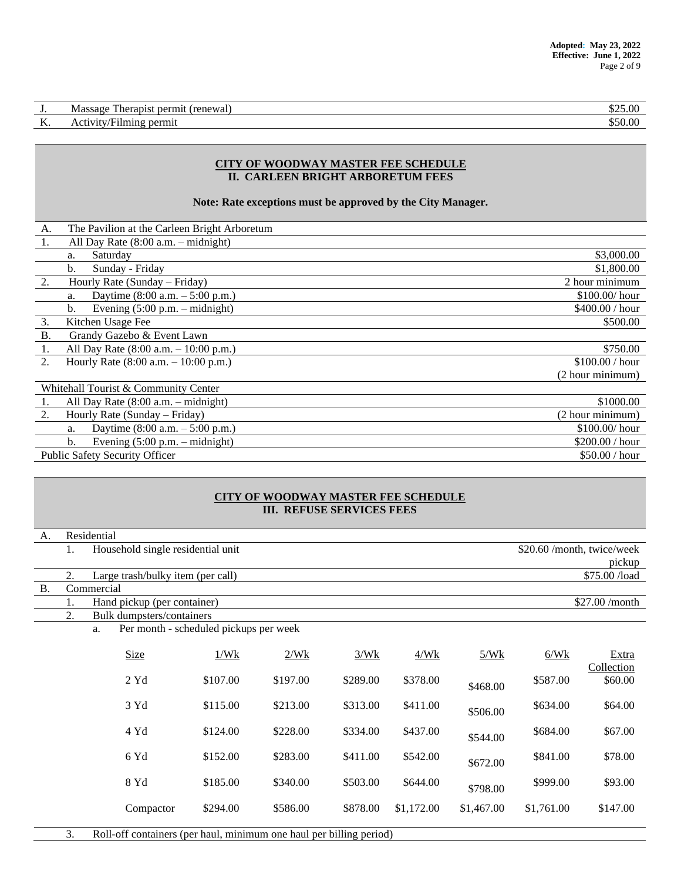| . .       | . nerm <sup>.</sup><br>renewar,<br>Therapis,<br>Massage | 5.00<br>$\triangle$ $\triangle$ $\triangle$ |
|-----------|---------------------------------------------------------|---------------------------------------------|
| --<br>TT. | permit<br>uming<br>∠⊥tv<br>$\sim$ $\cdot$               | 50.00<br>. ור                               |

#### **CITY OF WOODWAY MASTER FEE SCHEDULE II. CARLEEN BRIGHT ARBORETUM FEES**

#### **Note: Rate exceptions must be approved by the City Manager.**

| A.        | The Pavilion at the Carleen Bright Arboretum          |                  |
|-----------|-------------------------------------------------------|------------------|
| 1.        | All Day Rate $(8:00 a.m. - midnight)$                 |                  |
|           | Saturday<br>a.                                        | \$3,000.00       |
|           | Sunday - Friday<br>b.                                 | \$1,800.00       |
| 2.        | Hourly Rate (Sunday – Friday)                         | 2 hour minimum   |
|           | Daytime $(8:00 a.m. - 5:00 p.m.)$<br>a.               | \$100.00/ hour   |
|           | Evening $(5:00 \text{ p.m.} - \text{midnight})$<br>b. | \$400.00 / hour  |
| 3.        | Kitchen Usage Fee                                     | \$500.00         |
| <b>B.</b> | Grandy Gazebo & Event Lawn                            |                  |
| 1.        | All Day Rate $(8:00 a.m. - 10:00 p.m.)$               | \$750.00         |
| 2.        | Hourly Rate $(8:00 a.m. - 10:00 p.m.)$                | \$100.00 / hour  |
|           |                                                       | (2 hour minimum) |
|           | Whitehall Tourist & Community Center                  |                  |
| 1.        | All Day Rate $(8:00$ a.m. - midnight)                 | \$1000.00        |
| 2.        | Hourly Rate (Sunday – Friday)                         | (2 hour minimum) |
|           | Daytime $(8:00 a.m. - 5:00 p.m.)$<br>a.               | $$100.00/$ hour  |
|           | Evening $(5:00 \text{ p.m.} - \text{midnight})$<br>b. | \$200.00 / hour  |
|           | <b>Public Safety Security Officer</b>                 | \$50.00 / hour   |

#### **CITY OF WOODWAY MASTER FEE SCHEDULE III. REFUSE SERVICES FEES**

| А.        | Residential |                                                                     |                                        |          |          |            |            |            |                            |
|-----------|-------------|---------------------------------------------------------------------|----------------------------------------|----------|----------|------------|------------|------------|----------------------------|
|           | 1.          | Household single residential unit                                   |                                        |          |          |            |            |            | \$20.60 /month, twice/week |
|           |             |                                                                     |                                        |          |          |            |            |            | pickup                     |
|           | 2.          | Large trash/bulky item (per call)                                   |                                        |          |          |            |            |            | \$75.00 /load              |
| <b>B.</b> |             | Commercial                                                          |                                        |          |          |            |            |            |                            |
|           | 1.          | Hand pickup (per container)                                         |                                        |          |          |            |            |            | \$27.00 /month             |
|           | 2.          | Bulk dumpsters/containers                                           |                                        |          |          |            |            |            |                            |
|           |             | a.                                                                  | Per month - scheduled pickups per week |          |          |            |            |            |                            |
|           |             | <b>Size</b>                                                         | 1/Wk                                   | 2/Wk     | 3/Wk     | 4/Wk       | 5/Wk       | 6/Wk       | <b>Extra</b><br>Collection |
|           |             | $2$ Yd                                                              | \$107.00                               | \$197.00 | \$289.00 | \$378.00   | \$468.00   | \$587.00   | \$60.00                    |
|           |             | 3 Yd                                                                | \$115.00                               | \$213.00 | \$313.00 | \$411.00   | \$506.00   | \$634.00   | \$64.00                    |
|           |             | 4 Yd                                                                | \$124.00                               | \$228.00 | \$334.00 | \$437.00   | \$544.00   | \$684.00   | \$67.00                    |
|           |             | 6 Yd                                                                | \$152.00                               | \$283.00 | \$411.00 | \$542.00   | \$672.00   | \$841.00   | \$78.00                    |
|           |             | 8 Yd                                                                | \$185.00                               | \$340.00 | \$503.00 | \$644.00   | \$798.00   | \$999.00   | \$93.00                    |
|           |             | Compactor                                                           | \$294.00                               | \$586.00 | \$878.00 | \$1,172.00 | \$1,467.00 | \$1,761.00 | \$147.00                   |
|           | 3.          | Roll-off containers (per haul, minimum one haul per billing period) |                                        |          |          |            |            |            |                            |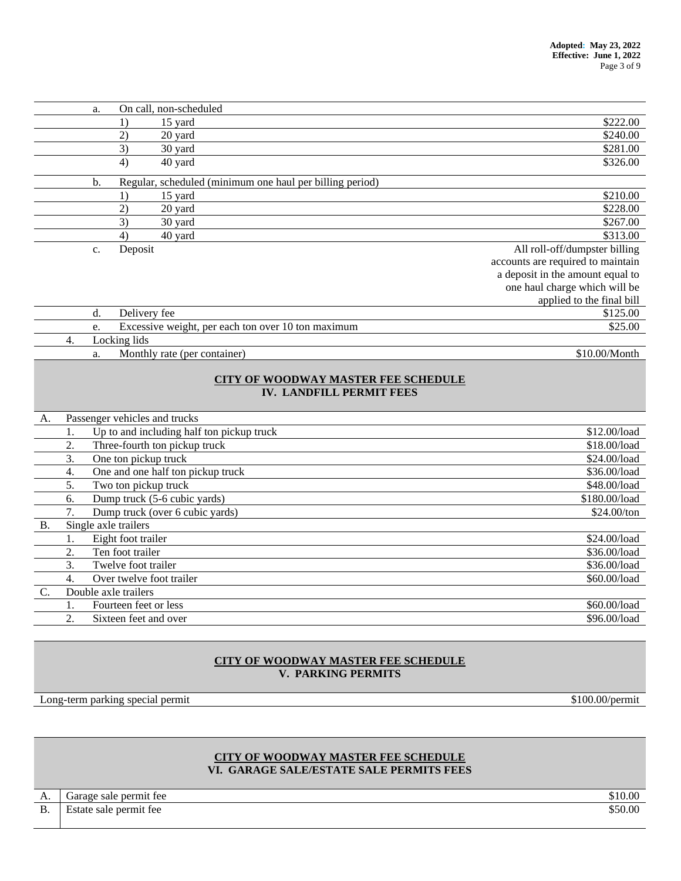| a. | On call, non-scheduled                                   |                                   |
|----|----------------------------------------------------------|-----------------------------------|
|    | 15 yard<br>$_{1}$                                        | \$222.00                          |
|    | 2)<br>20 yard                                            | \$240.00                          |
|    | 3)<br>30 yard                                            | \$281.00                          |
|    | 4)<br>40 yard                                            | \$326.00                          |
| b. | Regular, scheduled (minimum one haul per billing period) |                                   |
|    | 15 yard<br>$_{1}$                                        | \$210.00                          |
|    | 2)<br>20 yard                                            | \$228.00                          |
|    | 3)<br>30 yard                                            | \$267.00                          |
|    | 40 yard<br>4)                                            | \$313.00                          |
| c. | Deposit                                                  | All roll-off/dumpster billing     |
|    |                                                          | accounts are required to maintain |
|    |                                                          | a deposit in the amount equal to  |
|    |                                                          | one haul charge which will be     |
|    |                                                          | applied to the final bill         |
| d. | Delivery fee                                             | \$125.00                          |
| e. | Excessive weight, per each ton over 10 ton maximum       | \$25.00                           |
| 4. | Locking lids                                             |                                   |

a. Monthly rate (per container) \$10.00/Month

# **CITY OF WOODWAY MASTER FEE SCHEDULE IV. LANDFILL PERMIT FEES**

| A.             | Passenger vehicles and trucks |                                           |               |  |  |
|----------------|-------------------------------|-------------------------------------------|---------------|--|--|
|                |                               | Up to and including half ton pickup truck | \$12.00/load  |  |  |
|                | 2.                            | Three-fourth ton pickup truck             | \$18.00/load  |  |  |
|                | 3.                            | One ton pickup truck                      | \$24.00/load  |  |  |
|                | 4.                            | One and one half ton pickup truck         | \$36.00/load  |  |  |
|                | 5.                            | Two ton pickup truck                      | \$48.00/load  |  |  |
|                | 6.                            | Dump truck (5-6 cubic yards)              | \$180.00/load |  |  |
|                | 7.                            | Dump truck (over 6 cubic yards)           | \$24.00/ton   |  |  |
| <b>B.</b>      |                               | Single axle trailers                      |               |  |  |
|                |                               | Eight foot trailer                        | \$24.00/load  |  |  |
|                | 2.                            | Ten foot trailer                          | \$36.00/load  |  |  |
|                | 3.                            | Twelve foot trailer                       | \$36.00/load  |  |  |
|                | 4.                            | Over twelve foot trailer                  | \$60.00/load  |  |  |
| $\mathbf{C}$ . |                               | Double axle trailers                      |               |  |  |
|                |                               | Fourteen feet or less                     | \$60.00/load  |  |  |
|                | 2.                            | Sixteen feet and over                     | \$96.00/load  |  |  |

## **CITY OF WOODWAY MASTER FEE SCHEDULE V. PARKING PERMITS**

Long-term parking special permit \$100.00/permit \$100.00/permit

# **CITY OF WOODWAY MASTER FEE SCHEDULE VI. GARAGE SALE/ESTATE SALE PERMITS FEES**

| А.        | nermit tee<br>Garage sale | \$10.00         |
|-----------|---------------------------|-----------------|
| <b>B.</b> | Estate sale permit fee    | ስ ስስ<br>00.00 د |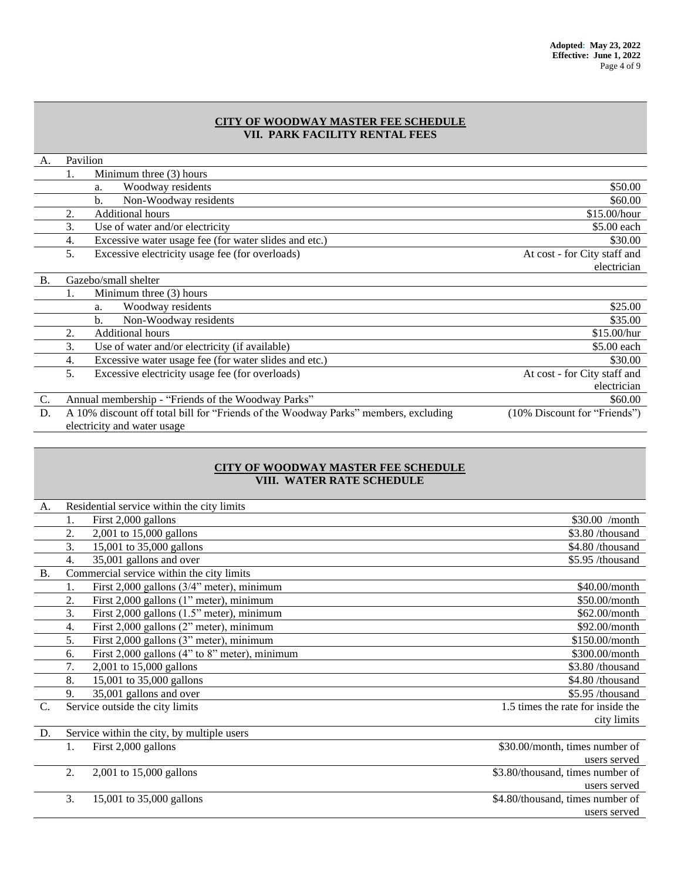#### **CITY OF WOODWAY MASTER FEE SCHEDULE VII. PARK FACILITY RENTAL FEES**

| А.        | Pavilion                    |                                                                                     |                              |  |  |
|-----------|-----------------------------|-------------------------------------------------------------------------------------|------------------------------|--|--|
|           | 1.                          | Minimum three (3) hours                                                             |                              |  |  |
|           |                             | Woodway residents<br>a.                                                             | \$50.00                      |  |  |
|           |                             | Non-Woodway residents<br>$\mathbf b$ .                                              | \$60.00                      |  |  |
|           | 2.                          | <b>Additional hours</b>                                                             | \$15.00/hour                 |  |  |
|           | 3.                          | Use of water and/or electricity                                                     | \$5.00 each                  |  |  |
|           | 4.                          | Excessive water usage fee (for water slides and etc.)                               | \$30.00                      |  |  |
|           | 5.                          | Excessive electricity usage fee (for overloads)                                     | At cost - for City staff and |  |  |
|           |                             |                                                                                     | electrician                  |  |  |
| <b>B.</b> |                             | Gazebo/small shelter                                                                |                              |  |  |
|           | 1.                          | Minimum three (3) hours                                                             |                              |  |  |
|           |                             | Woodway residents<br>a.                                                             | \$25.00                      |  |  |
|           |                             | Non-Woodway residents<br>b.                                                         | \$35.00                      |  |  |
|           | 2.                          | <b>Additional hours</b>                                                             | \$15.00/hur                  |  |  |
|           | 3.                          | Use of water and/or electricity (if available)                                      | \$5.00 each                  |  |  |
|           | 4.                          | Excessive water usage fee (for water slides and etc.)                               | \$30.00                      |  |  |
|           | 5.                          | Excessive electricity usage fee (for overloads)                                     | At cost - for City staff and |  |  |
|           |                             |                                                                                     | electrician                  |  |  |
| C.        |                             | Annual membership - "Friends of the Woodway Parks"                                  | \$60.00                      |  |  |
| D.        |                             | A 10% discount off total bill for "Friends of the Woodway Parks" members, excluding | (10% Discount for "Friends") |  |  |
|           | electricity and water usage |                                                                                     |                              |  |  |

# **CITY OF WOODWAY MASTER FEE SCHEDULE VIII. WATER RATE SCHEDULE**

| A.        |    | Residential service within the city limits    |                                   |
|-----------|----|-----------------------------------------------|-----------------------------------|
|           | 1. | First 2,000 gallons                           | \$30.00 /month                    |
|           | 2. | 2,001 to 15,000 gallons                       | \$3.80/thousand                   |
|           | 3. | 15,001 to 35,000 gallons                      | \$4.80/thousand                   |
|           | 4. | 35,001 gallons and over                       | \$5.95 /thousand                  |
| <b>B.</b> |    | Commercial service within the city limits     |                                   |
|           | 1. | First 2,000 gallons (3/4" meter), minimum     | \$40.00/month                     |
|           | 2. | First 2,000 gallons (1" meter), minimum       | $$50.00/m$ onth                   |
|           | 3. | First 2,000 gallons (1.5" meter), minimum     | \$62.00/month                     |
|           | 4. | First 2,000 gallons (2" meter), minimum       | \$92.00/month                     |
|           | 5. | First 2,000 gallons (3" meter), minimum       | \$150.00/month                    |
|           | 6. | First 2,000 gallons (4" to 8" meter), minimum | \$300.00/month                    |
|           | 7. | 2,001 to 15,000 gallons                       | \$3.80/thousand                   |
|           | 8. | 15,001 to 35,000 gallons                      | \$4.80/thousand                   |
|           | 9. | 35,001 gallons and over                       | \$5.95 /thousand                  |
| $C$ .     |    | Service outside the city limits               | 1.5 times the rate for inside the |
|           |    |                                               | city limits                       |
| D.        |    | Service within the city, by multiple users    |                                   |
|           | 1. | First 2,000 gallons                           | \$30.00/month, times number of    |
|           |    |                                               | users served                      |
|           | 2. | 2,001 to 15,000 gallons                       | \$3.80/thousand, times number of  |
|           |    |                                               | users served                      |
|           | 3. | 15,001 to 35,000 gallons                      | \$4.80/thousand, times number of  |
|           |    |                                               | users served                      |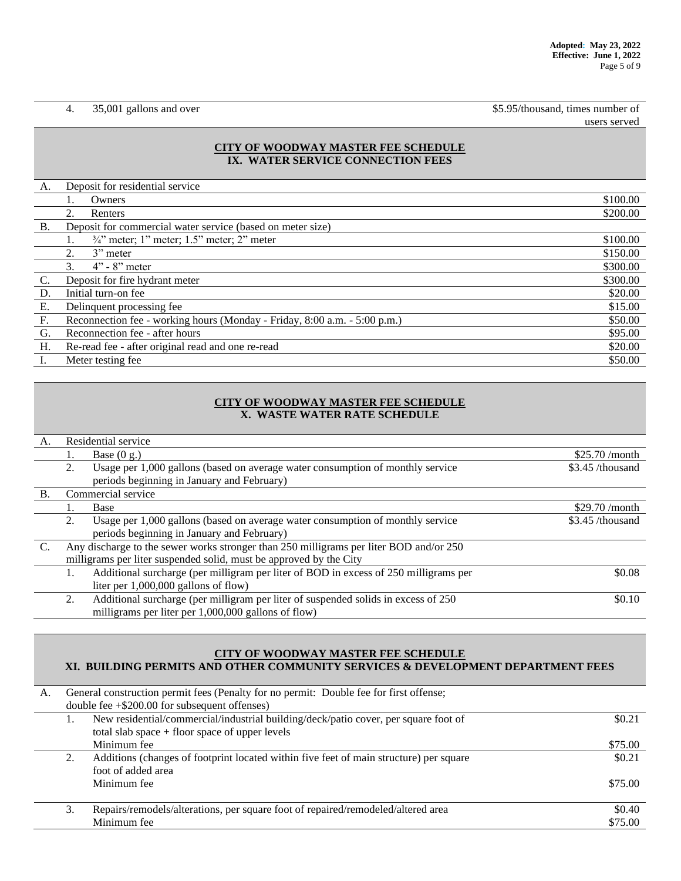4. 35,001 gallons and over \$5.95/thousand, times number of users served

## **CITY OF WOODWAY MASTER FEE SCHEDULE IX. WATER SERVICE CONNECTION FEES**

| A.        | Deposit for residential service                                           |          |
|-----------|---------------------------------------------------------------------------|----------|
|           | Owners                                                                    | \$100.00 |
|           | 2.<br>Renters                                                             | \$200.00 |
| <b>B.</b> | Deposit for commercial water service (based on meter size)                |          |
|           | $\frac{3}{4}$ " meter; 1" meter; 1.5" meter; 2" meter                     | \$100.00 |
|           | 2.<br>$3$ " meter                                                         | \$150.00 |
|           | 3.<br>$4" - 8"$ meter                                                     | \$300.00 |
| $C$ .     | Deposit for fire hydrant meter                                            | \$300.00 |
| D.        | Initial turn-on fee                                                       | \$20.00  |
| E.        | Delinquent processing fee                                                 | \$15.00  |
| F.        | Reconnection fee - working hours (Monday - Friday, 8:00 a.m. - 5:00 p.m.) | \$50.00  |
| G.        | Reconnection fee - after hours                                            | \$95.00  |
| H.        | Re-read fee - after original read and one re-read                         | \$20.00  |
|           | Meter testing fee.                                                        | \$50.00  |

## **CITY OF WOODWAY MASTER FEE SCHEDULE X. WASTE WATER RATE SCHEDULE**

| A.              |    | Residential service                                                                    |                   |
|-----------------|----|----------------------------------------------------------------------------------------|-------------------|
|                 |    | Base $(0 g.)$                                                                          | \$25.70/month     |
|                 | 2. | Usage per 1,000 gallons (based on average water consumption of monthly service         | $$3.45$ /thousand |
|                 |    | periods beginning in January and February)                                             |                   |
| <b>B.</b>       |    | Commercial service                                                                     |                   |
|                 | Ι. | Base                                                                                   | $$29.70$ /month   |
|                 | 2. | Usage per 1,000 gallons (based on average water consumption of monthly service         | $$3.45$ /thousand |
|                 |    | periods beginning in January and February)                                             |                   |
| $\mathcal{C}$ . |    | Any discharge to the sewer works stronger than 250 milligrams per liter BOD and/or 250 |                   |
|                 |    | milligrams per liter suspended solid, must be approved by the City                     |                   |
|                 |    | Additional surcharge (per milligram per liter of BOD in excess of 250 milligrams per   | \$0.08            |
|                 |    | liter per $1,000,000$ gallons of flow)                                                 |                   |
|                 | 2. | Additional surcharge (per milligram per liter of suspended solids in excess of 250     | \$0.10            |
|                 |    | milligrams per liter per 1,000,000 gallons of flow)                                    |                   |

#### **CITY OF WOODWAY MASTER FEE SCHEDULE**

# **XI. BUILDING PERMITS AND OTHER COMMUNITY SERVICES & DEVELOPMENT DEPARTMENT FEES**

| A. |    | General construction permit fees (Penalty for no permit: Double fee for first offense; |         |
|----|----|----------------------------------------------------------------------------------------|---------|
|    |    | double fee $+\$200.00$ for subsequent offenses)                                        |         |
|    |    | New residential/commercial/industrial building/deck/patio cover, per square foot of    | \$0.21  |
|    |    | total slab space $+$ floor space of upper levels                                       |         |
|    |    | Minimum fee                                                                            | \$75.00 |
|    |    | Additions (changes of footprint located within five feet of main structure) per square | \$0.21  |
|    |    | foot of added area                                                                     |         |
|    |    | Minimum fee                                                                            | \$75.00 |
|    |    |                                                                                        |         |
|    | 3. | Repairs/remodels/alterations, per square foot of repaired/remodeled/altered area       | \$0.40  |
|    |    | Minimum fee                                                                            | \$75.00 |
|    |    |                                                                                        |         |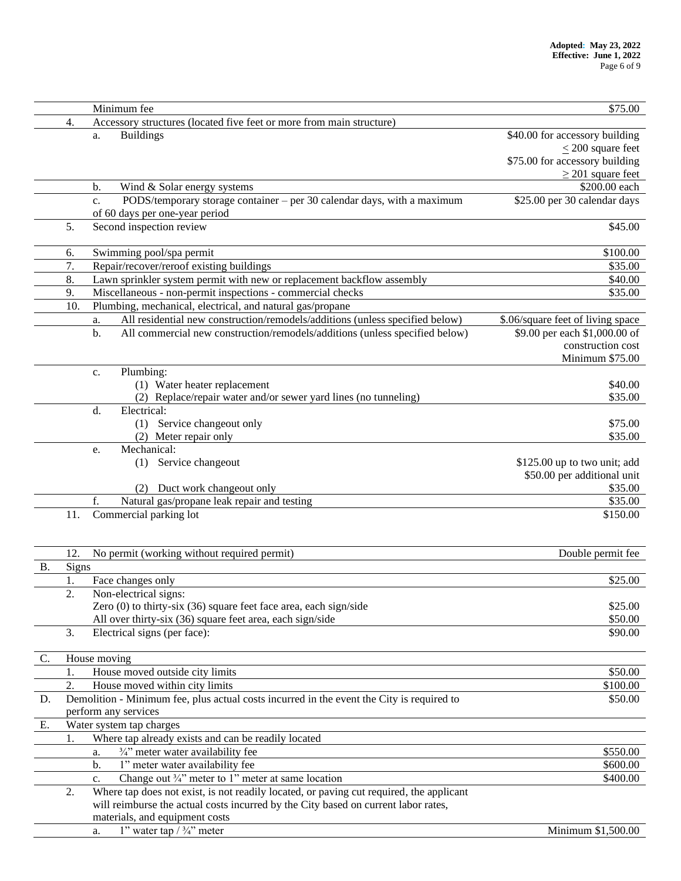|           |                                                                              | Minimum fee<br>\$75.00                                                                    |                                   |  |  |  |  |
|-----------|------------------------------------------------------------------------------|-------------------------------------------------------------------------------------------|-----------------------------------|--|--|--|--|
|           | 4.                                                                           | Accessory structures (located five feet or more from main structure)                      |                                   |  |  |  |  |
|           |                                                                              | <b>Buildings</b><br>a.                                                                    | \$40.00 for accessory building    |  |  |  |  |
|           |                                                                              |                                                                                           | $\leq$ 200 square feet            |  |  |  |  |
|           |                                                                              |                                                                                           | \$75.00 for accessory building    |  |  |  |  |
|           |                                                                              |                                                                                           | $\geq$ 201 square feet            |  |  |  |  |
|           |                                                                              | Wind & Solar energy systems<br>b.                                                         | \$200.00 each                     |  |  |  |  |
|           |                                                                              | PODS/temporary storage container – per 30 calendar days, with a maximum<br>$C_{\star}$    | \$25.00 per 30 calendar days      |  |  |  |  |
|           |                                                                              | of 60 days per one-year period                                                            |                                   |  |  |  |  |
|           | 5.                                                                           | Second inspection review                                                                  | \$45.00                           |  |  |  |  |
|           |                                                                              |                                                                                           |                                   |  |  |  |  |
|           | 6.                                                                           | Swimming pool/spa permit<br>\$100.00                                                      |                                   |  |  |  |  |
|           | 7.                                                                           | Repair/recover/reroof existing buildings                                                  |                                   |  |  |  |  |
|           | 8.<br>Lawn sprinkler system permit with new or replacement backflow assembly |                                                                                           |                                   |  |  |  |  |
|           | 9.                                                                           | Miscellaneous - non-permit inspections - commercial checks                                |                                   |  |  |  |  |
|           | 10.                                                                          | \$35.00<br>Plumbing, mechanical, electrical, and natural gas/propane                      |                                   |  |  |  |  |
|           |                                                                              | All residential new construction/remodels/additions (unless specified below)<br>a.        | \$.06/square feet of living space |  |  |  |  |
|           |                                                                              | b.<br>All commercial new construction/remodels/additions (unless specified below)         | \$9.00 per each \$1,000.00 of     |  |  |  |  |
|           |                                                                              |                                                                                           | construction cost                 |  |  |  |  |
|           |                                                                              |                                                                                           | Minimum \$75.00                   |  |  |  |  |
|           |                                                                              | Plumbing:<br>c.                                                                           |                                   |  |  |  |  |
|           |                                                                              | (1) Water heater replacement                                                              | \$40.00                           |  |  |  |  |
|           |                                                                              | (2) Replace/repair water and/or sewer yard lines (no tunneling)                           | \$35.00                           |  |  |  |  |
|           |                                                                              | Electrical:<br>d.                                                                         |                                   |  |  |  |  |
|           |                                                                              | (1) Service changeout only                                                                | \$75.00                           |  |  |  |  |
|           |                                                                              | (2) Meter repair only                                                                     | \$35.00                           |  |  |  |  |
|           |                                                                              | Mechanical:                                                                               |                                   |  |  |  |  |
|           |                                                                              | e.                                                                                        |                                   |  |  |  |  |
|           |                                                                              | Service changeout<br>(1)                                                                  | \$125.00 up to two unit; add      |  |  |  |  |
|           |                                                                              |                                                                                           | \$50.00 per additional unit       |  |  |  |  |
|           |                                                                              | Duct work changeout only                                                                  | \$35.00                           |  |  |  |  |
|           |                                                                              | f.<br>Natural gas/propane leak repair and testing                                         | \$35.00                           |  |  |  |  |
|           | 11.                                                                          | Commercial parking lot                                                                    | \$150.00                          |  |  |  |  |
|           |                                                                              |                                                                                           |                                   |  |  |  |  |
|           |                                                                              |                                                                                           |                                   |  |  |  |  |
|           | 12.                                                                          | No permit (working without required permit)                                               | Double permit fee                 |  |  |  |  |
| <b>B.</b> | Signs                                                                        |                                                                                           |                                   |  |  |  |  |
|           | 1.                                                                           | Face changes only                                                                         | \$25.00                           |  |  |  |  |
|           | 2.                                                                           | Non-electrical signs:                                                                     |                                   |  |  |  |  |
|           |                                                                              | Zero $(0)$ to thirty-six $(36)$ square feet face area, each sign/side                     | \$25.00                           |  |  |  |  |
|           |                                                                              | All over thirty-six (36) square feet area, each sign/side                                 | \$50.00                           |  |  |  |  |
|           | 3.                                                                           | Electrical signs (per face):                                                              | \$90.00                           |  |  |  |  |
|           |                                                                              |                                                                                           |                                   |  |  |  |  |
| C.        |                                                                              | House moving                                                                              |                                   |  |  |  |  |
|           | 1.                                                                           | House moved outside city limits                                                           | \$50.00                           |  |  |  |  |
|           | 2.                                                                           | House moved within city limits                                                            | \$100.00                          |  |  |  |  |
| D.        |                                                                              | Demolition - Minimum fee, plus actual costs incurred in the event the City is required to | \$50.00                           |  |  |  |  |
|           |                                                                              | perform any services                                                                      |                                   |  |  |  |  |
| Е.        |                                                                              | Water system tap charges                                                                  |                                   |  |  |  |  |
|           | 1.                                                                           | Where tap already exists and can be readily located                                       |                                   |  |  |  |  |
|           |                                                                              | 3/4" meter water availability fee<br>a.                                                   | \$550.00                          |  |  |  |  |
|           |                                                                              | 1" meter water availability fee<br>b.                                                     | \$600.00                          |  |  |  |  |
|           |                                                                              | Change out $\frac{3}{4}$ " meter to 1" meter at same location<br>c.                       | \$400.00                          |  |  |  |  |
|           | 2.                                                                           | Where tap does not exist, is not readily located, or paving cut required, the applicant   |                                   |  |  |  |  |
|           |                                                                              | will reimburse the actual costs incurred by the City based on current labor rates,        |                                   |  |  |  |  |
|           |                                                                              | materials, and equipment costs                                                            |                                   |  |  |  |  |
|           |                                                                              | 1" water tap $/ \frac{3}{4}$ " meter<br>a.                                                | Minimum \$1,500.00                |  |  |  |  |
|           |                                                                              |                                                                                           |                                   |  |  |  |  |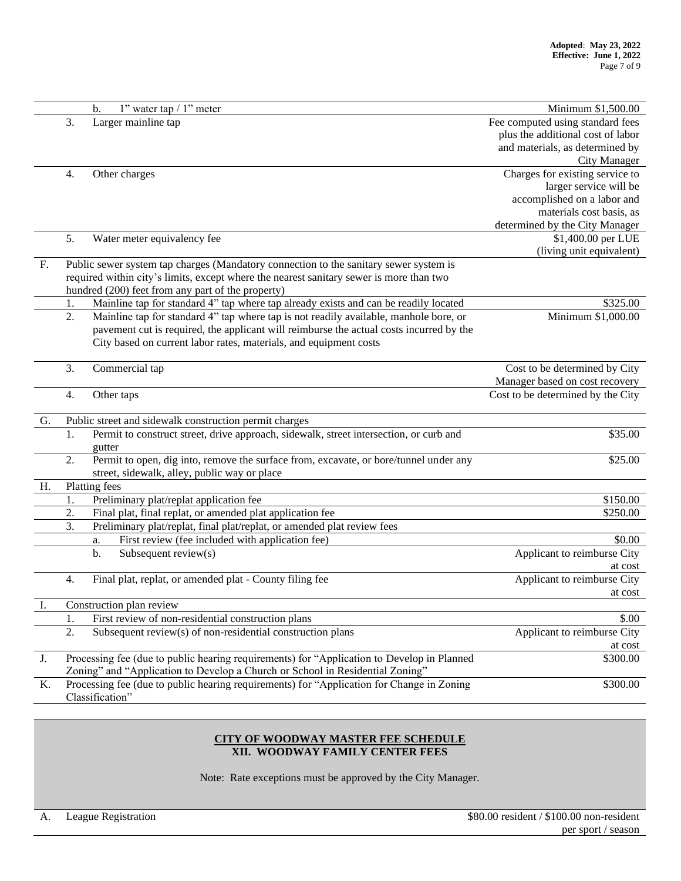|    |                                                                                           | 1" water tap / 1" meter<br>b.                                                              | Minimum \$1,500.00                |  |  |
|----|-------------------------------------------------------------------------------------------|--------------------------------------------------------------------------------------------|-----------------------------------|--|--|
|    | 3.                                                                                        | Larger mainline tap                                                                        | Fee computed using standard fees  |  |  |
|    |                                                                                           |                                                                                            | plus the additional cost of labor |  |  |
|    |                                                                                           |                                                                                            | and materials, as determined by   |  |  |
|    |                                                                                           |                                                                                            | City Manager                      |  |  |
|    | 4.                                                                                        | Other charges                                                                              | Charges for existing service to   |  |  |
|    |                                                                                           |                                                                                            | larger service will be            |  |  |
|    |                                                                                           |                                                                                            | accomplished on a labor and       |  |  |
|    |                                                                                           |                                                                                            | materials cost basis, as          |  |  |
|    |                                                                                           |                                                                                            | determined by the City Manager    |  |  |
|    | 5.                                                                                        | Water meter equivalency fee                                                                | \$1,400.00 per LUE                |  |  |
|    |                                                                                           |                                                                                            | (living unit equivalent)          |  |  |
| F. |                                                                                           | Public sewer system tap charges (Mandatory connection to the sanitary sewer system is      |                                   |  |  |
|    | required within city's limits, except where the nearest sanitary sewer is more than two   |                                                                                            |                                   |  |  |
|    |                                                                                           | hundred (200) feet from any part of the property)                                          |                                   |  |  |
|    | 1.                                                                                        | Mainline tap for standard 4" tap where tap already exists and can be readily located       | \$325.00                          |  |  |
|    | 2.                                                                                        | Mainline tap for standard 4" tap where tap is not readily available, manhole bore, or      | Minimum \$1,000.00                |  |  |
|    |                                                                                           | pavement cut is required, the applicant will reimburse the actual costs incurred by the    |                                   |  |  |
|    |                                                                                           | City based on current labor rates, materials, and equipment costs                          |                                   |  |  |
|    |                                                                                           |                                                                                            |                                   |  |  |
|    | 3.                                                                                        | Commercial tap                                                                             | Cost to be determined by City     |  |  |
|    |                                                                                           |                                                                                            | Manager based on cost recovery    |  |  |
|    | 4.                                                                                        | Other taps                                                                                 | Cost to be determined by the City |  |  |
| G. |                                                                                           | Public street and sidewalk construction permit charges                                     |                                   |  |  |
|    | 1.                                                                                        | Permit to construct street, drive approach, sidewalk, street intersection, or curb and     | \$35.00                           |  |  |
|    |                                                                                           | gutter                                                                                     |                                   |  |  |
|    | 2.                                                                                        | Permit to open, dig into, remove the surface from, excavate, or bore/tunnel under any      | \$25.00                           |  |  |
|    |                                                                                           | street, sidewalk, alley, public way or place                                               |                                   |  |  |
| Η. |                                                                                           | Platting fees                                                                              |                                   |  |  |
|    | 1.                                                                                        | Preliminary plat/replat application fee                                                    | \$150.00                          |  |  |
|    | 2.                                                                                        | Final plat, final replat, or amended plat application fee                                  | \$250.00                          |  |  |
|    | 3.                                                                                        | Preliminary plat/replat, final plat/replat, or amended plat review fees                    |                                   |  |  |
|    |                                                                                           | First review (fee included with application fee)<br>a.                                     | \$0.00                            |  |  |
|    |                                                                                           | $\mathbf b$ .<br>Subsequent review(s)                                                      | Applicant to reimburse City       |  |  |
|    |                                                                                           |                                                                                            | at cost                           |  |  |
|    | 4.                                                                                        | Final plat, replat, or amended plat - County filing fee                                    | Applicant to reimburse City       |  |  |
|    |                                                                                           |                                                                                            | at cost                           |  |  |
| Ι. |                                                                                           | Construction plan review                                                                   |                                   |  |  |
|    |                                                                                           | First review of non-residential construction plans                                         | \$.00                             |  |  |
|    | 2.                                                                                        | Subsequent review(s) of non-residential construction plans                                 | Applicant to reimburse City       |  |  |
|    |                                                                                           |                                                                                            | at cost                           |  |  |
| J. |                                                                                           | Processing fee (due to public hearing requirements) for "Application to Develop in Planned | \$300.00                          |  |  |
|    | Zoning" and "Application to Develop a Church or School in Residential Zoning"             |                                                                                            |                                   |  |  |
| Κ. | Processing fee (due to public hearing requirements) for "Application for Change in Zoning |                                                                                            |                                   |  |  |
|    | \$300.00<br>Classification"                                                               |                                                                                            |                                   |  |  |

#### **CITY OF WOODWAY MASTER FEE SCHEDULE XII. WOODWAY FAMILY CENTER FEES**

Note: Rate exceptions must be approved by the City Manager.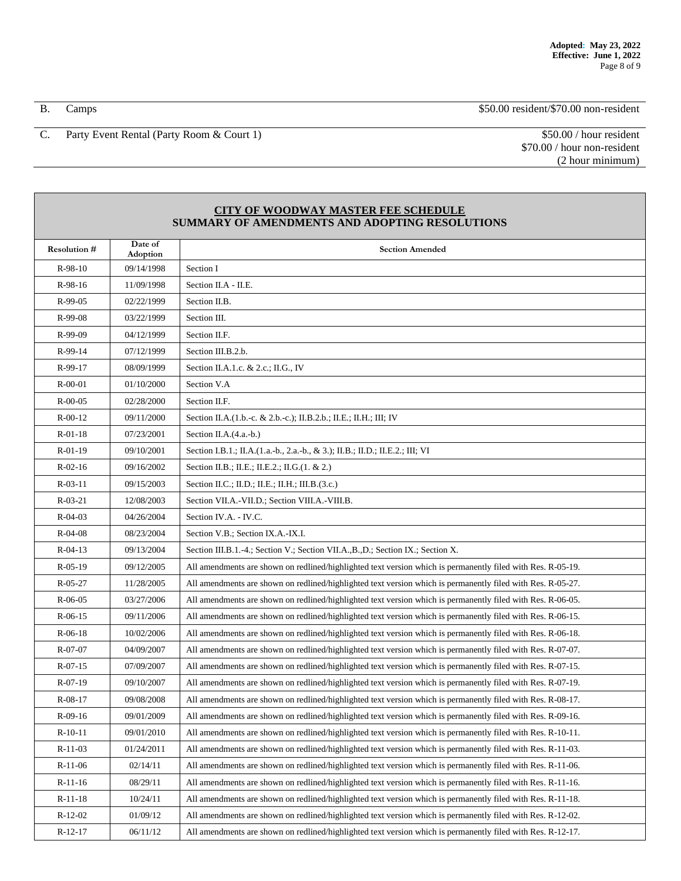B. Camps \$50.00 resident/\$70.00 non-resident

C. Party Event Rental (Party Room & Court 1) \$50.00 / hour resident

\$70.00 / hour non-resident (2 hour minimum)

## **CITY OF WOODWAY MASTER FEE SCHEDULE SUMMARY OF AMENDMENTS AND ADOPTING RESOLUTIONS**

| <b>Resolution #</b> | Date of<br>Adoption | <b>Section Amended</b>                                                                                      |
|---------------------|---------------------|-------------------------------------------------------------------------------------------------------------|
| $R-98-10$           | 09/14/1998          | Section I                                                                                                   |
| R-98-16             | 11/09/1998          | Section II.A - II.E.                                                                                        |
| R-99-05             | 02/22/1999          | Section II.B.                                                                                               |
| R-99-08             | 03/22/1999          | Section III.                                                                                                |
| R-99-09             | 04/12/1999          | Section II.F.                                                                                               |
| R-99-14             | 07/12/1999          | Section III.B.2.b.                                                                                          |
| R-99-17             | 08/09/1999          | Section II.A.1.c. & 2.c.; II.G., IV                                                                         |
| $R-00-01$           | 01/10/2000          | Section V.A                                                                                                 |
| $R - 00 - 05$       | 02/28/2000          | Section II.F.                                                                                               |
| $R - 00 - 12$       | 09/11/2000          | Section II.A. (1.b.-c. & 2.b.-c.); II.B.2.b.; II.E.; II.H.; III; IV                                         |
| $R-01-18$           | 07/23/2001          | Section II.A.(4.a.-b.)                                                                                      |
| $R-01-19$           | 09/10/2001          | Section I.B.1.; II.A.(1.a.-b., 2.a.-b., & 3.); II.B.; II.D.; II.E.2.; III; VI                               |
| $R - 02 - 16$       | 09/16/2002          | Section II.B.; II.E.; II.E.2.; II.G.(1. & 2.)                                                               |
| $R-03-11$           | 09/15/2003          | Section II.C.; II.D.; II.E.; II.H.; III.B.(3.c.)                                                            |
| $R-03-21$           | 12/08/2003          | Section VII.A.-VII.D.; Section VIII.A.-VIII.B.                                                              |
| $R - 04 - 03$       | 04/26/2004          | Section IV.A. - IV.C.                                                                                       |
| $R-04-08$           | 08/23/2004          | Section V.B.; Section IX.A.-IX.I.                                                                           |
| $R - 04 - 13$       | 09/13/2004          | Section III.B.1.-4.; Section V.; Section VII.A., B., D.; Section IX.; Section X.                            |
| $R-05-19$           | 09/12/2005          | All amendments are shown on redlined/highlighted text version which is permanently filed with Res. R-05-19. |
| $R - 05 - 27$       | 11/28/2005          | All amendments are shown on redlined/highlighted text version which is permanently filed with Res. R-05-27. |
| R-06-05             | 03/27/2006          | All amendments are shown on redlined/highlighted text version which is permanently filed with Res. R-06-05. |
| $R-06-15$           | 09/11/2006          | All amendments are shown on redlined/highlighted text version which is permanently filed with Res. R-06-15. |
| $R-06-18$           | 10/02/2006          | All amendments are shown on redlined/highlighted text version which is permanently filed with Res. R-06-18. |
| R-07-07             | 04/09/2007          | All amendments are shown on redlined/highlighted text version which is permanently filed with Res. R-07-07. |
| $R-07-15$           | 07/09/2007          | All amendments are shown on redlined/highlighted text version which is permanently filed with Res. R-07-15. |
| $R-07-19$           | 09/10/2007          | All amendments are shown on redlined/highlighted text version which is permanently filed with Res. R-07-19. |
| $R-08-17$           | 09/08/2008          | All amendments are shown on redlined/highlighted text version which is permanently filed with Res. R-08-17. |
| $R-09-16$           | 09/01/2009          | All amendments are shown on redlined/highlighted text version which is permanently filed with Res. R-09-16. |
| $R-10-11$           | 09/01/2010          | All amendments are shown on redlined/highlighted text version which is permanently filed with Res. R-10-11. |
| $R-11-03$           | 01/24/2011          | All amendments are shown on redlined/highlighted text version which is permanently filed with Res. R-11-03. |
| $R-11-06$           | 02/14/11            | All amendments are shown on redlined/highlighted text version which is permanently filed with Res. R-11-06. |
| $R-11-16$           | 08/29/11            | All amendments are shown on redlined/highlighted text version which is permanently filed with Res. R-11-16. |
| $R-11-18$           | 10/24/11            | All amendments are shown on redlined/highlighted text version which is permanently filed with Res. R-11-18. |
| $R-12-02$           | 01/09/12            | All amendments are shown on redlined/highlighted text version which is permanently filed with Res. R-12-02. |
| $R-12-17$           | 06/11/12            | All amendments are shown on redlined/highlighted text version which is permanently filed with Res. R-12-17. |